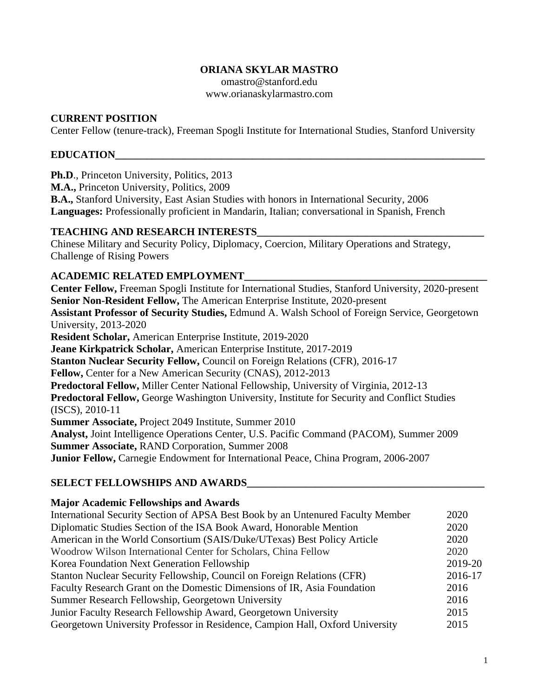## **ORIANA SKYLAR MASTRO**

omastro@stanford.edu www.orianaskylarmastro.com

### **CURRENT POSITION**

Center Fellow (tenure-track), Freeman Spogli Institute for International Studies, Stanford University

### **EDUCATION\_\_\_\_\_\_\_\_\_\_\_\_\_\_\_\_\_\_\_\_\_\_\_\_\_\_\_\_\_\_\_\_\_\_\_\_\_\_\_\_\_\_\_\_\_\_\_\_\_\_\_\_\_\_\_\_\_\_\_\_\_\_\_\_\_\_\_\_\_\_**

Ph.D., Princeton University, Politics, 2013

**M.A.,** Princeton University, Politics, 2009

**B.A.,** Stanford University, East Asian Studies with honors in International Security, 2006 **Languages:** Professionally proficient in Mandarin, Italian; conversational in Spanish, French

#### **TEACHING AND RESEARCH INTERESTS\_\_\_\_\_\_\_\_\_\_\_\_\_\_\_\_\_\_\_\_\_\_\_\_\_\_\_\_\_\_\_\_\_\_\_\_\_\_\_\_\_\_\_**

Chinese Military and Security Policy, Diplomacy, Coercion, Military Operations and Strategy, Challenge of Rising Powers

### **ACADEMIC RELATED EMPLOYMENT\_\_\_\_\_\_\_\_\_\_\_\_\_\_\_\_\_\_\_\_\_\_\_\_\_\_\_\_\_\_\_\_\_\_\_\_\_\_\_\_\_\_\_\_\_\_**

**Center Fellow,** Freeman Spogli Institute for International Studies, Stanford University, 2020-present **Senior Non-Resident Fellow,** The American Enterprise Institute, 2020-present **Assistant Professor of Security Studies,** Edmund A. Walsh School of Foreign Service, Georgetown University, 2013-2020 **Resident Scholar,** American Enterprise Institute, 2019-2020 **Jeane Kirkpatrick Scholar,** American Enterprise Institute, 2017-2019 **Stanton Nuclear Security Fellow,** Council on Foreign Relations (CFR), 2016-17 **Fellow,** Center for a New American Security (CNAS), 2012-2013 **Predoctoral Fellow,** Miller Center National Fellowship, University of Virginia, 2012-13 **Predoctoral Fellow,** George Washington University, Institute for Security and Conflict Studies (ISCS), 2010-11 **Summer Associate,** Project 2049 Institute, Summer 2010 **Analyst,** Joint Intelligence Operations Center, U.S. Pacific Command (PACOM), Summer 2009 **Summer Associate,** RAND Corporation, Summer 2008 **Junior Fellow,** Carnegie Endowment for International Peace, China Program, 2006-2007

### **SELECT FELLOWSHIPS AND AWARDS\_\_\_\_\_\_\_\_\_\_\_\_\_\_\_\_\_\_\_\_\_\_\_\_\_\_\_\_\_\_\_\_\_\_\_\_\_\_\_\_\_\_\_\_\_**

#### **Major Academic Fellowships and Awards**

| International Security Section of APSA Best Book by an Untenured Faculty Member | 2020    |
|---------------------------------------------------------------------------------|---------|
| Diplomatic Studies Section of the ISA Book Award, Honorable Mention             | 2020    |
| American in the World Consortium (SAIS/Duke/UTexas) Best Policy Article         | 2020    |
| Woodrow Wilson International Center for Scholars, China Fellow                  | 2020    |
| Korea Foundation Next Generation Fellowship                                     | 2019-20 |
| Stanton Nuclear Security Fellowship, Council on Foreign Relations (CFR)         |         |
| Faculty Research Grant on the Domestic Dimensions of IR, Asia Foundation        |         |
| Summer Research Fellowship, Georgetown University                               |         |
| Junior Faculty Research Fellowship Award, Georgetown University                 |         |
| Georgetown University Professor in Residence, Campion Hall, Oxford University   | 2015    |
|                                                                                 |         |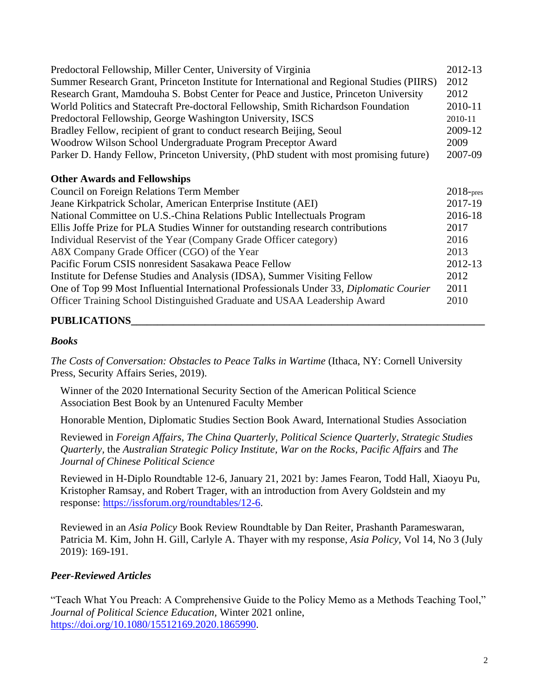| Predoctoral Fellowship, Miller Center, University of Virginia<br>Summer Research Grant, Princeton Institute for International and Regional Studies (PIIRS)<br>Research Grant, Mamdouha S. Bobst Center for Peace and Justice, Princeton University<br>World Politics and Statecraft Pre-doctoral Fellowship, Smith Richardson Foundation<br>Predoctoral Fellowship, George Washington University, ISCS<br>Bradley Fellow, recipient of grant to conduct research Beijing, Seoul<br>Woodrow Wilson School Undergraduate Program Preceptor Award | 2012-13<br>2012<br>2012<br>2010-11<br>2010-11<br>2009-12<br>2009 |
|------------------------------------------------------------------------------------------------------------------------------------------------------------------------------------------------------------------------------------------------------------------------------------------------------------------------------------------------------------------------------------------------------------------------------------------------------------------------------------------------------------------------------------------------|------------------------------------------------------------------|
| Parker D. Handy Fellow, Princeton University, (PhD student with most promising future)                                                                                                                                                                                                                                                                                                                                                                                                                                                         | 2007-09                                                          |
| <b>Other Awards and Fellowships</b>                                                                                                                                                                                                                                                                                                                                                                                                                                                                                                            |                                                                  |
| Council on Foreign Relations Term Member                                                                                                                                                                                                                                                                                                                                                                                                                                                                                                       | $2018$ -pres<br>2017-19                                          |
| Jeane Kirkpatrick Scholar, American Enterprise Institute (AEI)                                                                                                                                                                                                                                                                                                                                                                                                                                                                                 |                                                                  |
| National Committee on U.S.-China Relations Public Intellectuals Program                                                                                                                                                                                                                                                                                                                                                                                                                                                                        |                                                                  |
| Ellis Joffe Prize for PLA Studies Winner for outstanding research contributions                                                                                                                                                                                                                                                                                                                                                                                                                                                                |                                                                  |
| Individual Reservist of the Year (Company Grade Officer category)                                                                                                                                                                                                                                                                                                                                                                                                                                                                              |                                                                  |
| A8X Company Grade Officer (CGO) of the Year                                                                                                                                                                                                                                                                                                                                                                                                                                                                                                    |                                                                  |
| Pacific Forum CSIS nonresident Sasakawa Peace Fellow                                                                                                                                                                                                                                                                                                                                                                                                                                                                                           |                                                                  |
| Institute for Defense Studies and Analysis (IDSA), Summer Visiting Fellow                                                                                                                                                                                                                                                                                                                                                                                                                                                                      |                                                                  |
| One of Top 99 Most Influential International Professionals Under 33, Diplomatic Courier                                                                                                                                                                                                                                                                                                                                                                                                                                                        |                                                                  |
| Officer Training School Distinguished Graduate and USAA Leadership Award                                                                                                                                                                                                                                                                                                                                                                                                                                                                       | 2010                                                             |
|                                                                                                                                                                                                                                                                                                                                                                                                                                                                                                                                                |                                                                  |

# **PUBLICATIONS\_\_\_\_\_\_\_\_\_\_\_\_\_\_\_\_\_\_\_\_\_\_\_\_\_\_\_\_\_\_\_\_\_\_\_\_\_\_\_\_\_\_\_\_\_\_\_\_\_\_\_\_\_\_\_\_\_\_\_\_\_\_\_\_\_\_\_**

### *Books*

*The Costs of Conversation: Obstacles to Peace Talks in Wartime (Ithaca, NY: Cornell University* Press, Security Affairs Series, 2019).

Winner of the 2020 International Security Section of the American Political Science Association Best Book by an Untenured Faculty Member

Honorable Mention, Diplomatic Studies Section Book Award, International Studies Association

Reviewed in *Foreign Affairs, The China Quarterly, Political Science Quarterly, Strategic Studies Quarterly,* the *Australian Strategic Policy Institute, War on the Rocks, Pacific Affairs* and *The Journal of Chinese Political Science*

Reviewed in H-Diplo Roundtable 12-6, January 21, 2021 by: James Fearon, Todd Hall, Xiaoyu Pu, Kristopher Ramsay, and Robert Trager, with an introduction from Avery Goldstein and my response: [https://issforum.org/roundtables/12-6.](https://issforum.org/roundtables/12-6)

Reviewed in an *Asia Policy* Book Review Roundtable by Dan Reiter, Prashanth Parameswaran, Patricia M. Kim, John H. Gill, Carlyle A. Thayer with my response, *Asia Policy,* Vol 14, No 3 (July 2019): 169-191.

## *Peer-Reviewed Articles*

"Teach What You Preach: A Comprehensive Guide to the Policy Memo as a Methods Teaching Tool," *Journal of Political Science Education,* Winter 2021 online, [https://doi.org/10.1080/15512169.2020.1865990.](https://doi.org/10.1080/15512169.2020.1865990)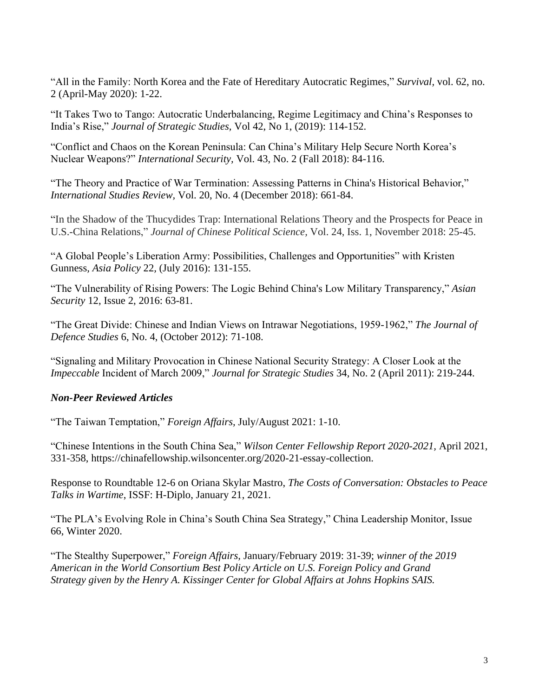"All in the Family: North Korea and the Fate of Hereditary Autocratic Regimes," *Survival,* vol. 62, no. 2 (April-May 2020): 1-22.

"It Takes Two to Tango: Autocratic Underbalancing, Regime Legitimacy and China's Responses to India's Rise," *Journal of Strategic Studies,* Vol 42, No 1, (2019): 114-152.

"Conflict and Chaos on the Korean Peninsula: Can China's Military Help Secure North Korea's Nuclear Weapons?" *International Security,* Vol. 43, No. 2 (Fall 2018): 84-116.

"The Theory and Practice of War Termination: Assessing Patterns in China's Historical Behavior," *International Studies Review,* Vol. 20, No. 4 (December 2018): 661-84.

"In the Shadow of the Thucydides Trap: International Relations Theory and the Prospects for Peace in U.S.-China Relations," *Journal of Chinese Political Science,* Vol. 24, Iss. 1, November 2018: 25-45.

"A Global People's Liberation Army: Possibilities, Challenges and Opportunities" with Kristen Gunness*, Asia Policy* 22*,* (July 2016): 131-155.

"The Vulnerability of Rising Powers: The Logic Behind China's Low Military Transparency," *Asian Security* 12, Issue 2, 2016: 63-81.

"The Great Divide: Chinese and Indian Views on Intrawar Negotiations, 1959-1962," *The Journal of Defence Studies* 6, No. 4, (October 2012): 71-108.

"Signaling and Military Provocation in Chinese National Security Strategy: A Closer Look at the *Impeccable* Incident of March 2009," *Journal for Strategic Studies* 34, No. 2 (April 2011): 219-244.

## *Non-Peer Reviewed Articles*

"The Taiwan Temptation," *Foreign Affairs,* July/August 2021: 1-10.

"Chinese Intentions in the South China Sea," *Wilson Center Fellowship Report 2020-2021,* April 2021, 331-358, https://chinafellowship.wilsoncenter.org/2020-21-essay-collection.

Response to Roundtable 12-6 on Oriana Skylar Mastro, *The Costs of Conversation: Obstacles to Peace Talks in Wartime*, ISSF: H-Diplo, January 21, 2021.

"The PLA's Evolving Role in China's South China Sea Strategy," China Leadership Monitor, Issue 66, Winter 2020.

"The Stealthy Superpower," *Foreign Affairs,* January/February 2019: 31-39; *winner of the 2019 American in the World Consortium Best Policy Article on U.S. Foreign Policy and Grand Strategy given by the Henry A. Kissinger Center for Global Affairs at Johns Hopkins SAIS.*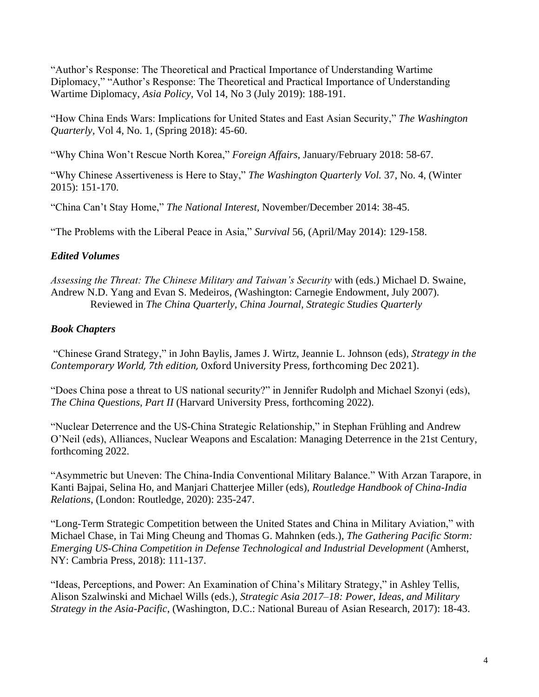"Author's Response: The Theoretical and Practical Importance of Understanding Wartime Diplomacy," "Author's Response: The Theoretical and Practical Importance of Understanding Wartime Diplomacy, *Asia Policy,* Vol 14, No 3 (July 2019): 188-191.

"How China Ends Wars: Implications for United States and East Asian Security," *The Washington Quarterly,* Vol 4, No. 1, (Spring 2018): 45-60.

"Why China Won't Rescue North Korea," *Foreign Affairs,* January/February 2018: 58-67.

"Why Chinese Assertiveness is Here to Stay," *The Washington Quarterly Vol.* 37, No. 4, (Winter 2015): 151-170.

"China Can't Stay Home," *The National Interest,* November/December 2014: 38-45.

"The Problems with the Liberal Peace in Asia," *Survival* 56, (April/May 2014): 129-158.

# *Edited Volumes*

*Assessing the Threat: The Chinese Military and Taiwan's Security* with (eds.) Michael D. Swaine, Andrew N.D. Yang and Evan S. Medeiros, *(*Washington: Carnegie Endowment, July 2007). Reviewed in *The China Quarterly, China Journal, Strategic Studies Quarterly*

# *Book Chapters*

"Chinese Grand Strategy," in John Baylis, James J. Wirtz, Jeannie L. Johnson (eds), *Strategy in the Contemporary World, 7th edition,* Oxford University Press, forthcoming Dec 2021).

"Does China pose a threat to US national security?" in Jennifer Rudolph and Michael Szonyi (eds), *The China Questions, Part II (Harvard University Press, forthcoming 2022).* 

"Nuclear Deterrence and the US-China Strategic Relationship," in Stephan Frühling and Andrew O'Neil (eds), Alliances, Nuclear Weapons and Escalation: Managing Deterrence in the 21st Century, forthcoming 2022.

"Asymmetric but Uneven: The China-India Conventional Military Balance." With Arzan Tarapore, in Kanti Bajpai, Selina Ho, and Manjari Chatterjee Miller (eds), *Routledge Handbook of China-India Relations*, (London: Routledge, 2020): 235-247.

"Long-Term Strategic Competition between the United States and China in Military Aviation," with Michael Chase, in Tai Ming Cheung and Thomas G. Mahnken (eds.), *The Gathering Pacific Storm: Emerging US-China Competition in Defense Technological and Industrial Development* (Amherst, NY: Cambria Press, 2018): 111-137.

"Ideas, Perceptions, and Power: An Examination of China's Military Strategy," in Ashley Tellis, Alison Szalwinski and Michael Wills (eds.), *Strategic Asia 2017–18: Power, Ideas, and Military Strategy in the Asia-Pacific*, (Washington, D.C.: National Bureau of Asian Research, 2017): 18-43.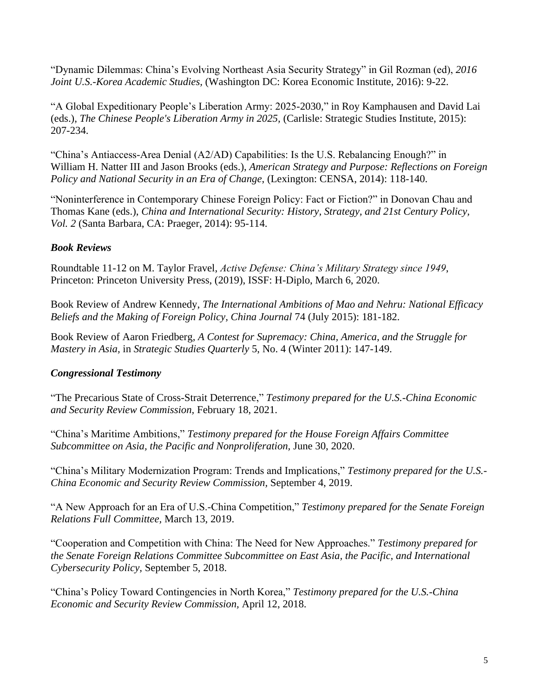"Dynamic Dilemmas: China's Evolving Northeast Asia Security Strategy" in Gil Rozman (ed), *2016 Joint U.S.-Korea Academic Studies,* (Washington DC: Korea Economic Institute, 2016): 9-22.

"A Global Expeditionary People's Liberation Army: 2025-2030," in Roy Kamphausen and David Lai (eds.), *The Chinese People's Liberation Army in 2025,* (Carlisle: Strategic Studies Institute, 2015): 207-234.

"China's Antiaccess-Area Denial (A2/AD) Capabilities: Is the U.S. Rebalancing Enough?" in William H. Natter III and Jason Brooks (eds.), *American Strategy and Purpose: Reflections on Foreign Policy and National Security in an Era of Change*, (Lexington: CENSA, 2014): 118-140.

"Noninterference in Contemporary Chinese Foreign Policy: Fact or Fiction?" in Donovan Chau and Thomas Kane (eds.), *China and International Security: History, Strategy, and 21st Century Policy, Vol. 2* (Santa Barbara, CA: Praeger, 2014): 95-114.

# *Book Reviews*

Roundtable 11-12 on M. Taylor Fravel, *Active Defense: China's Military Strategy since 1949*, Princeton: Princeton University Press, (2019), ISSF: H-Diplo, March 6, 2020.

Book Review of Andrew Kennedy, *The International Ambitions of Mao and Nehru: National Efficacy Beliefs and the Making of Foreign Policy, China Journal* 74 (July 2015): 181-182.

Book Review of Aaron Friedberg, *A Contest for Supremacy: China, America*, *and the Struggle for Mastery in Asia,* in *Strategic Studies Quarterly* 5, No. 4 (Winter 2011): 147-149.

# *Congressional Testimony*

"The Precarious State of Cross-Strait Deterrence," *Testimony prepared for the U.S.-China Economic and Security Review Commission,* February 18, 2021.

"China's Maritime Ambitions," *Testimony prepared for the House Foreign Affairs Committee Subcommittee on Asia, the Pacific and Nonproliferation,* June 30, 2020.

"China's Military Modernization Program: Trends and Implications," *Testimony prepared for the U.S.- China Economic and Security Review Commission,* September 4, 2019.

"A New Approach for an Era of U.S.-China Competition," *Testimony prepared for the Senate Foreign Relations Full Committee,* March 13, 2019.

"Cooperation and Competition with China: The Need for New Approaches." *Testimony prepared for the Senate Foreign Relations Committee Subcommittee on East Asia, the Pacific, and International Cybersecurity Policy,* September 5, 2018.

"China's Policy Toward Contingencies in North Korea," *Testimony prepared for the U.S.-China Economic and Security Review Commission,* April 12, 2018.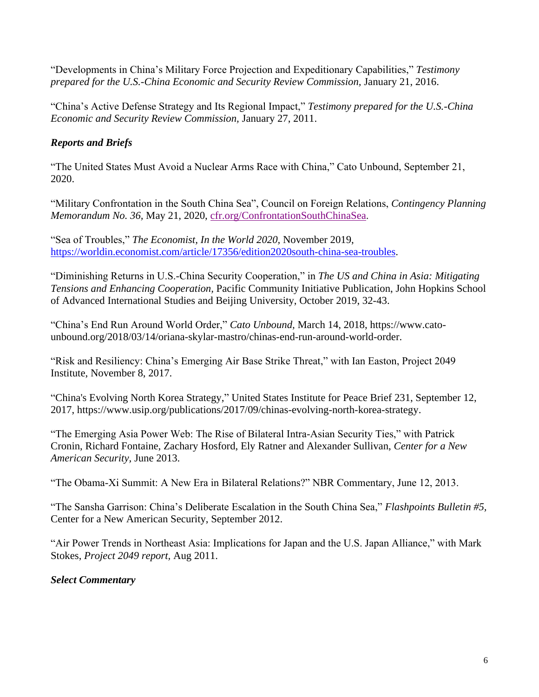"Developments in China's Military Force Projection and Expeditionary Capabilities," *Testimony prepared for the U.S.-China Economic and Security Review Commission,* January 21, 2016.

"China's Active Defense Strategy and Its Regional Impact," *Testimony prepared for the U.S.-China Economic and Security Review Commission,* January 27, 2011.

# *Reports and Briefs*

"The United States Must Avoid a Nuclear Arms Race with China," Cato Unbound, September 21, 2020.

"Military Confrontation in the South China Sea", Council on Foreign Relations, *Contingency Planning Memorandum No. 36,* May 21, 2020, [cfr.org/ConfrontationSouthChinaSea.](x-webdoc://96DE0DA6-E941-4C2C-AC48-7268CEEB70E7/cfr.org/confrontationsouthchinasea)

"Sea of Troubles," *The Economist, In the World 2020,* November 2019, [https://worldin.economist.com/article/17356/edition2020south-china-sea-troubles.](https://worldin.economist.com/article/17356/edition2020south-china-sea-troubles)

"Diminishing Returns in U.S.-China Security Cooperation," in *The US and China in Asia: Mitigating Tensions and Enhancing Cooperation,* Pacific Community Initiative Publication, John Hopkins School of Advanced International Studies and Beijing University, October 2019, 32-43.

"China's End Run Around World Order," *Cato Unbound,* March 14, 2018, [https://www.cato](https://www.cato-unbound.org/2018/03/14/oriana-skylar-mastro/chinas-end-run-around-world-order)[unbound.org/2018/03/14/oriana-skylar-mastro/chinas-end-run-around-world-order.](https://www.cato-unbound.org/2018/03/14/oriana-skylar-mastro/chinas-end-run-around-world-order)

"Risk and Resiliency: China's Emerging Air Base Strike Threat," with Ian Easton, Project 2049 Institute, November 8, 2017.

"China's Evolving North Korea Strategy," United States Institute for Peace Brief 231, September 12, 2017, [https://www.usip.org/publications/2017/09/chinas-evolving-north-korea-strategy.](https://www.usip.org/publications/2017/09/chinas-evolving-north-korea-strategy)

"The Emerging Asia Power Web: The Rise of Bilateral Intra-Asian Security Ties," with Patrick Cronin, Richard Fontaine, Zachary Hosford, Ely Ratner and Alexander Sullivan, *Center for a New American Security,* June 2013.

"The Obama-Xi Summit: A New Era in Bilateral Relations?" NBR Commentary, June 12, 2013.

"The Sansha Garrison: China's Deliberate Escalation in the South China Sea," *Flashpoints Bulletin #5,*  Center for a New American Security, September 2012.

"Air Power Trends in Northeast Asia: Implications for Japan and the U.S. Japan Alliance," with Mark Stokes, *Project 2049 report,* Aug 2011.

*Select Commentary*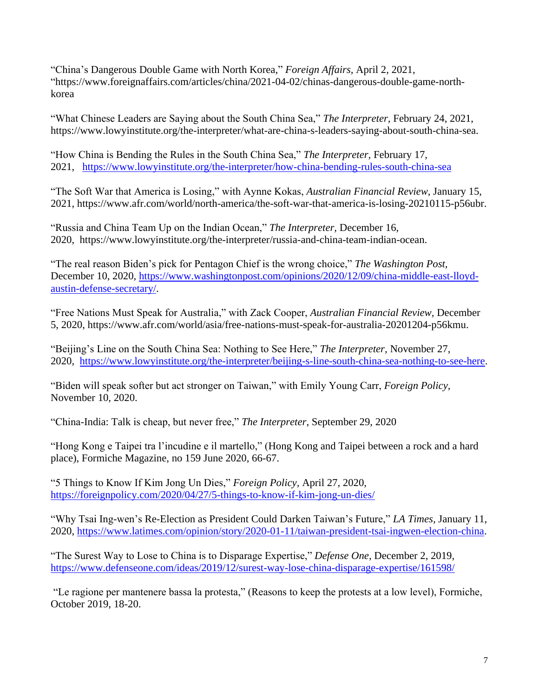"China's Dangerous Double Game with North Korea," *Foreign Affairs,* April 2, 2021, "https://www.foreignaffairs.com/articles/china/2021-04-02/chinas-dangerous-double-game-northkorea

"What Chinese Leaders are Saying about the South China Sea," *The Interpreter,* February 24, 2021, https://www.lowyinstitute.org/the-interpreter/what-are-china-s-leaders-saying-about-south-china-sea.

"How China is Bending the Rules in the South China Sea," *The Interpreter,* February 17, 2021, <https://www.lowyinstitute.org/the-interpreter/how-china-bending-rules-south-china-sea>

"The Soft War that America is Losing," with Aynne Kokas, *Australian Financial Review,* January 15, 2021, https://www.afr.com/world/north-america/the-soft-war-that-america-is-losing-20210115-p56ubr.

"Russia and China Team Up on the Indian Ocean," *The Interpreter,* December 16, 2020, https://www.lowyinstitute.org/the-interpreter/russia-and-china-team-indian-ocean.

"The real reason Biden's pick for Pentagon Chief is the wrong choice," *The Washington Post,*  December 10, 2020, [https://www.washingtonpost.com/opinions/2020/12/09/china-middle-east-lloyd](https://www.washingtonpost.com/opinions/2020/12/09/china-middle-east-lloyd-austin-defense-secretary/)[austin-defense-secretary/.](https://www.washingtonpost.com/opinions/2020/12/09/china-middle-east-lloyd-austin-defense-secretary/)

"Free Nations Must Speak for Australia," with Zack Cooper, *Australian Financial Review,* December 5, 2020, https://www.afr.com/world/asia/free-nations-must-speak-for-australia-20201204-p56kmu.

"Beijing's Line on the South China Sea: Nothing to See Here," *The Interpreter,* November 27, 2020, [https://www.lowyinstitute.org/the-interpreter/beijing-s-line-south-china-sea-nothing-to-see-here.](https://www.lowyinstitute.org/the-interpreter/beijing-s-line-south-china-sea-nothing-to-see-here)

"Biden will speak softer but act stronger on Taiwan," with Emily Young Carr, *Foreign Policy,*  November 10, 2020.

"China-India: Talk is cheap, but never free," *The Interpreter*, September 29, 2020

"Hong Kong e Taipei tra l'incudine e il martello," (Hong Kong and Taipei between a rock and a hard place), Formiche Magazine, no 159 June 2020, 66-67.

"5 Things to Know If Kim Jong Un Dies," *Foreign Policy,* April 27, 2020, <https://foreignpolicy.com/2020/04/27/5-things-to-know-if-kim-jong-un-dies/>

"Why Tsai Ing-wen's Re-Election as President Could Darken Taiwan's Future," *LA Times,* January 11, 2020, [https://www.latimes.com/opinion/story/2020-01-11/taiwan-president-tsai-ingwen-election-china.](https://www.latimes.com/opinion/story/2020-01-11/taiwan-president-tsai-ingwen-election-china)

"The Surest Way to Lose to China is to Disparage Expertise," *Defense One,* December 2, 2019, <https://www.defenseone.com/ideas/2019/12/surest-way-lose-china-disparage-expertise/161598/>

"Le ragione per mantenere bassa la protesta," (Reasons to keep the protests at a low level), Formiche, October 2019, 18-20.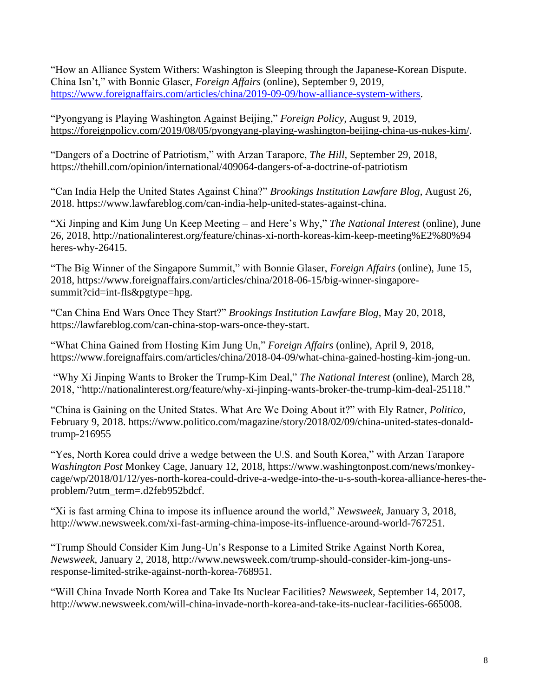"How an Alliance System Withers: Washington is Sleeping through the Japanese-Korean Dispute. China Isn't," with Bonnie Glaser, *Foreign Affairs* (online), September 9, 2019, [https://www.foreignaffairs.com/articles/china/2019-09-09/how-alliance-system-withers.](https://www.foreignaffairs.com/articles/china/2019-09-09/how-alliance-system-withers)

"Pyongyang is Playing Washington Against Beijing," *Foreign Policy,* August 9, 2019, [https://foreignpolicy.com/2019/08/05/pyongyang-playing-washington-beijing-china-us-nukes-kim/.](https://foreignpolicy.com/2019/08/05/pyongyang-playing-washington-beijing-china-us-nukes-kim/)

"Dangers of a Doctrine of Patriotism," with Arzan Tarapore, *The Hill,* September 29, 2018, <https://thehill.com/opinion/international/409064-dangers-of-a-doctrine-of-patriotism>

"Can India Help the United States Against China?" *Brookings Institution Lawfare Blog*, August 26, 2018. [https://www.lawfareblog.com/can-india-help-united-states-against-china.](https://www.lawfareblog.com/can-india-help-united-states-against-china)

"Xi Jinping and Kim Jung Un Keep Meeting – and Here's Why," *The National Interest* (online), June 26, 2018, http://nationalinterest.org/feature/chinas-xi-north-koreas-kim-keep-meeting%E2%80%94 heres-why-26415.

"The Big Winner of the Singapore Summit," with Bonnie Glaser, *Foreign Affairs* (online), June 15, 2018, https://www.foreignaffairs.com/articles/china/2018-06-15/big-winner-singaporesummit?cid=int-fls&pgtype=hpg.

"Can China End Wars Once They Start?" *Brookings Institution Lawfare Blog*, May 20, 2018, https://lawfareblog.com/can-china-stop-wars-once-they-start.

"What China Gained from Hosting Kim Jung Un," *Foreign Affairs* (online), April 9, 2018, [https://www.foreignaffairs.com/articles/china/2018-04-09/what-china-gained-hosting-kim-jong-un.](https://www.foreignaffairs.com/articles/china/2018-04-09/what-china-gained-hosting-kim-jong-un)

"Why Xi Jinping Wants to Broker the Trump-Kim Deal," *The National Interest* (online), March 28, 2018, "http://nationalinterest.org/feature/why-xi-jinping-wants-broker-the-trump-kim-deal-25118."

"China is Gaining on the United States. What Are We Doing About it?" with Ely Ratner, *Politico*, February 9, 2018. [https://www.politico.com/magazine/story/2018/02/09/china-united-states-donald](https://www.politico.com/magazine/story/2018/02/09/china-united-states-donald-trump-216955)[trump-216955](https://www.politico.com/magazine/story/2018/02/09/china-united-states-donald-trump-216955)

"Yes, North Korea could drive a wedge between the U.S. and South Korea," with Arzan Tarapore *Washington Post* Monkey Cage, January 12, 2018, [https://www.washingtonpost.com/news/monkey](https://www.washingtonpost.com/news/monkey-cage/wp/2018/01/12/yes-north-korea-could-drive-a-wedge-into-the-u-s-south-korea-alliance-heres-the-problem/?utm_term=.d2feb952bdcf)[cage/wp/2018/01/12/yes-north-korea-could-drive-a-wedge-into-the-u-s-south-korea-alliance-heres-the](https://www.washingtonpost.com/news/monkey-cage/wp/2018/01/12/yes-north-korea-could-drive-a-wedge-into-the-u-s-south-korea-alliance-heres-the-problem/?utm_term=.d2feb952bdcf)[problem/?utm\\_term=.d2feb952bdcf.](https://www.washingtonpost.com/news/monkey-cage/wp/2018/01/12/yes-north-korea-could-drive-a-wedge-into-the-u-s-south-korea-alliance-heres-the-problem/?utm_term=.d2feb952bdcf)

"Xi is fast arming China to impose its influence around the world," *Newsweek,* January 3, 2018, http://www.newsweek.com/xi-fast-arming-china-impose-its-influence-around-world-767251.

"Trump Should Consider Kim Jung-Un's Response to a Limited Strike Against North Korea, *Newsweek,* January 2, 2018, http://www.newsweek.com/trump-should-consider-kim-jong-unsresponse-limited-strike-against-north-korea-768951.

"Will China Invade North Korea and Take Its Nuclear Facilities? *Newsweek,* September 14, 2017, http://www.newsweek.com/will-china-invade-north-korea-and-take-its-nuclear-facilities-665008.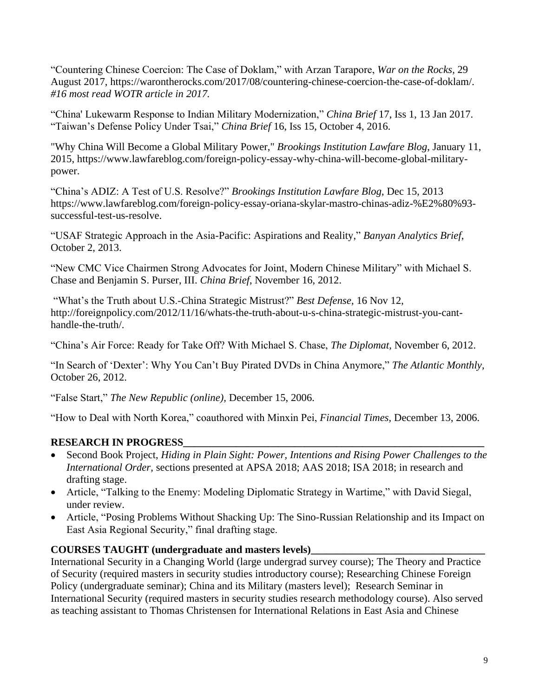"Countering Chinese Coercion: The Case of Doklam," with Arzan Tarapore, *War on the Rocks,* 29 August 2017, https://warontherocks.com/2017/08/countering-chinese-coercion-the-case-of-doklam/. *#16 most read WOTR article in 2017.*

"China' Lukewarm Response to Indian Military Modernization," *China Brief* 17, Iss 1, 13 Jan 2017. "Taiwan's Defense Policy Under Tsai," *China Brief* 16, Iss 15, October 4, 2016.

"Why China Will Become a Global Military Power," *Brookings Institution Lawfare Blog*, January 11, 2015, [https://www.lawfareblog.com/foreign-policy-essay-why-china-will-become-global-military](https://www.lawfareblog.com/foreign-policy-essay-why-china-will-become-global-military-power)[power.](https://www.lawfareblog.com/foreign-policy-essay-why-china-will-become-global-military-power)

"China's ADIZ: A Test of U.S. Resolve?" *Brookings Institution Lawfare Blog*, Dec 15, 2013 https://www.lawfareblog.com/foreign-policy-essay-oriana-skylar-mastro-chinas-adiz-%E2%80%93 successful-test-us-resolve.

"USAF Strategic Approach in the Asia-Pacific: Aspirations and Reality," *Banyan Analytics Brief,*  October 2, 2013.

"New CMC Vice Chairmen Strong Advocates for Joint, Modern Chinese Military" with Michael S. Chase and Benjamin S. Purser, III. *China Brief*, November 16, 2012.

"What's the Truth about U.S.-China Strategic Mistrust?" *Best Defense,* 16 Nov 12, http://foreignpolicy.com/2012/11/16/whats-the-truth-about-u-s-china-strategic-mistrust-you-canthandle-the-truth/.

"China's Air Force: Ready for Take Off? With Michael S. Chase, *The Diplomat,* November 6, 2012.

"In Search of 'Dexter': Why You Can't Buy Pirated DVDs in China Anymore," *The Atlantic Monthly,*  October 26, 2012.

"False Start," *The New Republic (online),* December 15, 2006.

"How to Deal with North Korea," coauthored with Minxin Pei, *Financial Times,* December 13, 2006.

## **RESEARCH IN PROGRESS\_\_\_\_\_\_\_\_\_\_\_\_\_\_\_\_\_\_\_\_\_\_\_\_\_\_\_\_\_\_\_\_\_\_\_\_\_\_\_\_\_\_\_\_\_\_\_\_\_\_\_\_\_\_\_\_\_**

- Second Book Project, *Hiding in Plain Sight: Power, Intentions and Rising Power Challenges to the International Order,* sections presented at APSA 2018; AAS 2018; ISA 2018; in research and drafting stage.
- Article, "Talking to the Enemy: Modeling Diplomatic Strategy in Wartime," with David Siegal, under review.
- Article, "Posing Problems Without Shacking Up: The Sino-Russian Relationship and its Impact on East Asia Regional Security," final drafting stage.

## **COURSES TAUGHT (undergraduate and masters levels)\_\_\_\_\_\_\_\_\_\_\_\_\_\_\_\_\_\_\_\_\_\_\_\_\_\_\_\_\_\_\_\_\_**

International Security in a Changing World (large undergrad survey course); The Theory and Practice of Security (required masters in security studies introductory course); Researching Chinese Foreign Policy (undergraduate seminar); China and its Military (masters level); Research Seminar in International Security (required masters in security studies research methodology course). Also served as teaching assistant to Thomas Christensen for International Relations in East Asia and Chinese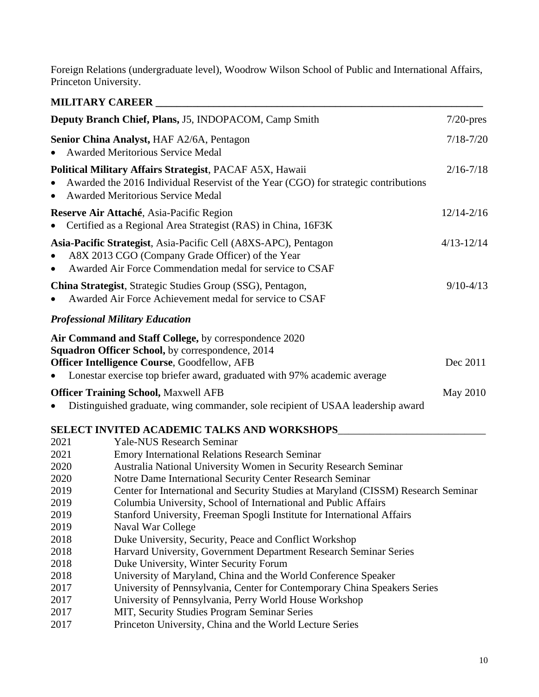Foreign Relations (undergraduate level), Woodrow Wilson School of Public and International Affairs, Princeton University.

|                                                                                                      | <b>MILITARY CAREER</b>                                                                                                                                                                                                                                                                                                                                                                                                                                                                                                                                                                                                                                                                                                                                                                                      |                |
|------------------------------------------------------------------------------------------------------|-------------------------------------------------------------------------------------------------------------------------------------------------------------------------------------------------------------------------------------------------------------------------------------------------------------------------------------------------------------------------------------------------------------------------------------------------------------------------------------------------------------------------------------------------------------------------------------------------------------------------------------------------------------------------------------------------------------------------------------------------------------------------------------------------------------|----------------|
|                                                                                                      | Deputy Branch Chief, Plans, J5, INDOPACOM, Camp Smith                                                                                                                                                                                                                                                                                                                                                                                                                                                                                                                                                                                                                                                                                                                                                       | $7/20$ -pres   |
| Senior China Analyst, HAF A2/6A, Pentagon<br><b>Awarded Meritorious Service Medal</b>                |                                                                                                                                                                                                                                                                                                                                                                                                                                                                                                                                                                                                                                                                                                                                                                                                             | $7/18 - 7/20$  |
| $\bullet$                                                                                            | Political Military Affairs Strategist, PACAF A5X, Hawaii<br>Awarded the 2016 Individual Reservist of the Year (CGO) for strategic contributions<br><b>Awarded Meritorious Service Medal</b>                                                                                                                                                                                                                                                                                                                                                                                                                                                                                                                                                                                                                 | $2/16 - 7/18$  |
|                                                                                                      | Reserve Air Attaché, Asia-Pacific Region<br>Certified as a Regional Area Strategist (RAS) in China, 16F3K                                                                                                                                                                                                                                                                                                                                                                                                                                                                                                                                                                                                                                                                                                   | $12/14 - 2/16$ |
|                                                                                                      | Asia-Pacific Strategist, Asia-Pacific Cell (A8XS-APC), Pentagon<br>A8X 2013 CGO (Company Grade Officer) of the Year<br>Awarded Air Force Commendation medal for service to CSAF                                                                                                                                                                                                                                                                                                                                                                                                                                                                                                                                                                                                                             | $4/13 - 12/14$ |
|                                                                                                      | China Strategist, Strategic Studies Group (SSG), Pentagon,<br>Awarded Air Force Achievement medal for service to CSAF                                                                                                                                                                                                                                                                                                                                                                                                                                                                                                                                                                                                                                                                                       | $9/10 - 4/13$  |
|                                                                                                      | <b>Professional Military Education</b>                                                                                                                                                                                                                                                                                                                                                                                                                                                                                                                                                                                                                                                                                                                                                                      |                |
|                                                                                                      | Air Command and Staff College, by correspondence 2020<br>Squadron Officer School, by correspondence, 2014<br>Officer Intelligence Course, Goodfellow, AFB<br>Lonestar exercise top briefer award, graduated with 97% academic average                                                                                                                                                                                                                                                                                                                                                                                                                                                                                                                                                                       | Dec 2011       |
|                                                                                                      | <b>Officer Training School, Maxwell AFB</b>                                                                                                                                                                                                                                                                                                                                                                                                                                                                                                                                                                                                                                                                                                                                                                 | May 2010       |
|                                                                                                      | Distinguished graduate, wing commander, sole recipient of USAA leadership award                                                                                                                                                                                                                                                                                                                                                                                                                                                                                                                                                                                                                                                                                                                             |                |
|                                                                                                      | SELECT INVITED ACADEMIC TALKS AND WORKSHOPS                                                                                                                                                                                                                                                                                                                                                                                                                                                                                                                                                                                                                                                                                                                                                                 |                |
| 2021<br>2021<br>2020<br>2020<br>2019<br>2019<br>2019<br>2019<br>2018<br>2018<br>2018<br>2018<br>2017 | <b>Yale-NUS Research Seminar</b><br><b>Emory International Relations Research Seminar</b><br>Australia National University Women in Security Research Seminar<br>Notre Dame International Security Center Research Seminar<br>Center for International and Security Studies at Maryland (CISSM) Research Seminar<br>Columbia University, School of International and Public Affairs<br>Stanford University, Freeman Spogli Institute for International Affairs<br>Naval War College<br>Duke University, Security, Peace and Conflict Workshop<br>Harvard University, Government Department Research Seminar Series<br>Duke University, Winter Security Forum<br>University of Maryland, China and the World Conference Speaker<br>University of Pennsylvania, Center for Contemporary China Speakers Series |                |
| 2017                                                                                                 | University of Pennsylvania, Perry World House Workshop                                                                                                                                                                                                                                                                                                                                                                                                                                                                                                                                                                                                                                                                                                                                                      |                |

- 2017 MIT, Security Studies Program Seminar Series
- 2017 Princeton University, China and the World Lecture Series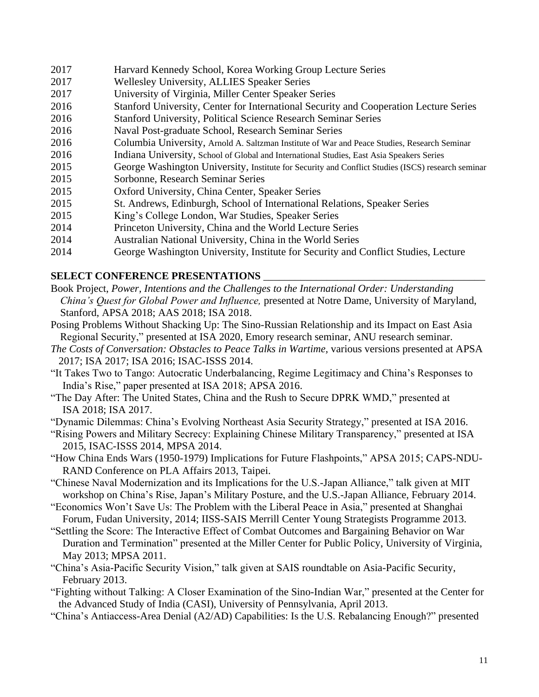- 2017 Harvard Kennedy School, Korea Working Group Lecture Series
- 2017 Wellesley University, ALLIES Speaker Series
- 2017 University of Virginia, Miller Center Speaker Series
- 2016 Stanford University, Center for International Security and Cooperation Lecture Series
- 2016 Stanford University, Political Science Research Seminar Series
- 2016 Naval Post-graduate School, Research Seminar Series
- 2016 Columbia University, Arnold A. Saltzman Institute of War and Peace Studies, Research Seminar
- 2016 Indiana University, School of Global and International Studies, East Asia Speakers Series
- 2015 George Washington University, Institute for Security and Conflict Studies (ISCS) research seminar
- 2015 Sorbonne, Research Seminar Series
- 2015 Oxford University, China Center, Speaker Series
- 2015 St. Andrews, Edinburgh, School of International Relations, Speaker Series
- 2015 King's College London, War Studies, Speaker Series
- 2014 Princeton University, China and the World Lecture Series
- 2014 Australian National University, China in the World Series
- 2014 George Washington University, Institute for Security and Conflict Studies, Lecture

# **SELECT CONFERENCE PRESENTATIONS**

- Book Project, *Power, Intentions and the Challenges to the International Order: Understanding China's Quest for Global Power and Influence,* presented at Notre Dame, University of Maryland, Stanford, APSA 2018; AAS 2018; ISA 2018.
- Posing Problems Without Shacking Up: The Sino-Russian Relationship and its Impact on East Asia Regional Security," presented at ISA 2020, Emory research seminar, ANU research seminar.
- *The Costs of Conversation: Obstacles to Peace Talks in Wartime,* various versions presented at APSA 2017; ISA 2017; ISA 2016; ISAC-ISSS 2014.
- "It Takes Two to Tango: Autocratic Underbalancing, Regime Legitimacy and China's Responses to India's Rise," paper presented at ISA 2018; APSA 2016.
- "The Day After: The United States, China and the Rush to Secure DPRK WMD," presented at ISA 2018; ISA 2017.
- "Dynamic Dilemmas: China's Evolving Northeast Asia Security Strategy," presented at ISA 2016.
- "Rising Powers and Military Secrecy: Explaining Chinese Military Transparency," presented at ISA 2015, ISAC-ISSS 2014, MPSA 2014.
- "How China Ends Wars (1950-1979) Implications for Future Flashpoints," APSA 2015; CAPS-NDU-RAND Conference on PLA Affairs 2013, Taipei.
- "Chinese Naval Modernization and its Implications for the U.S.-Japan Alliance," talk given at MIT workshop on China's Rise, Japan's Military Posture, and the U.S.-Japan Alliance, February 2014.
- "Economics Won't Save Us: The Problem with the Liberal Peace in Asia," presented at Shanghai Forum, Fudan University, 2014; IISS-SAIS Merrill Center Young Strategists Programme 2013.
- "Settling the Score: The Interactive Effect of Combat Outcomes and Bargaining Behavior on War Duration and Termination" presented at the Miller Center for Public Policy, University of Virginia, May 2013; MPSA 2011.
- "China's Asia-Pacific Security Vision," talk given at SAIS roundtable on Asia-Pacific Security, February 2013.
- "Fighting without Talking: A Closer Examination of the Sino-Indian War," presented at the Center for the Advanced Study of India (CASI), University of Pennsylvania, April 2013.
- "China's Antiaccess-Area Denial (A2/AD) Capabilities: Is the U.S. Rebalancing Enough?" presented